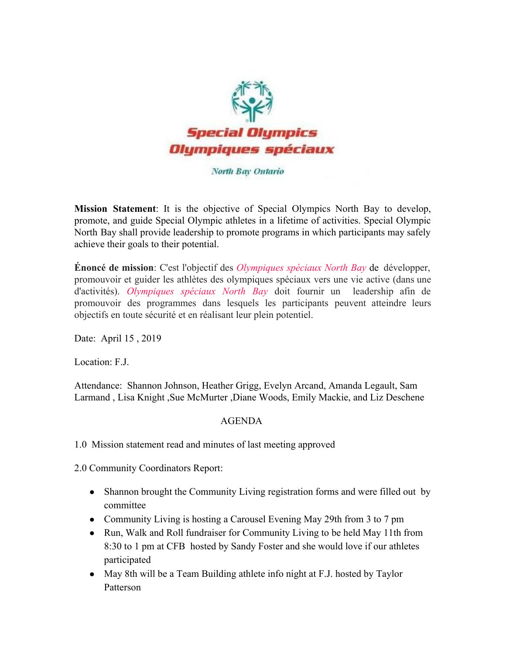

#### North Bay Ontario

**Mission Statement**: It is the objective of Special Olympics North Bay to develop, promote, and guide Special Olympic athletes in a lifetime of activities. Special Olympic North Bay shall provide leadership to promote programs in which participants may safely achieve their goals to their potential.

**Énoncé de mission**: C'est l'objectif des *Olympiques spéciaux North Bay* de développer, promouvoir et guider les athlètes des olympiques spéciaux vers une vie active (dans une d'activités). *Olympiques spéciaux North Bay* doit fournir un leadership afin de promouvoir des programmes dans lesquels les participants peuvent atteindre leurs objectifs en toute sécurité et en réalisant leur plein potentiel.

Date: April 15 , 2019

Location: F.J.

Attendance: Shannon Johnson, Heather Grigg, Evelyn Arcand, Amanda Legault, Sam Larmand , Lisa Knight ,Sue McMurter ,Diane Woods, Emily Mackie, and Liz Deschene

### AGENDA

1.0 Mission statement read and minutes of last meeting approved

2.0 Community Coordinators Report:

- Shannon brought the Community Living registration forms and were filled out by committee
- Community Living is hosting a Carousel Evening May 29th from 3 to 7 pm
- Run, Walk and Roll fundraiser for Community Living to be held May 11th from 8:30 to 1 pm at CFB hosted by Sandy Foster and she would love if our athletes participated
- May 8th will be a Team Building athlete info night at F.J. hosted by Taylor Patterson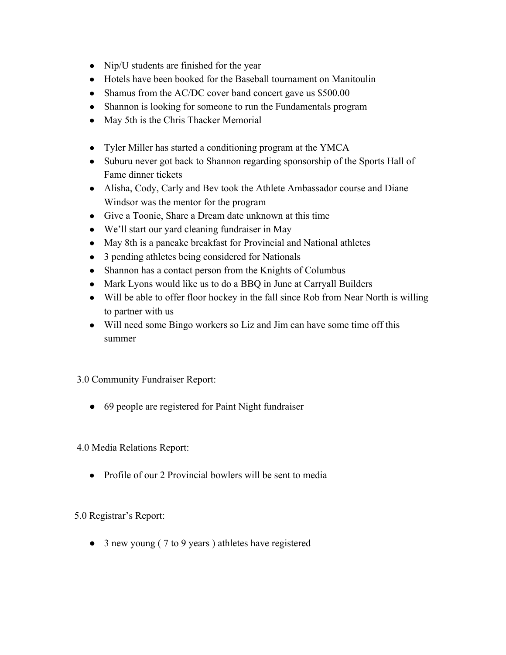- Nip/U students are finished for the year
- Hotels have been booked for the Baseball tournament on Manitoulin
- Shamus from the AC/DC cover band concert gave us \$500.00
- Shannon is looking for someone to run the Fundamentals program
- May 5th is the Chris Thacker Memorial
- Tyler Miller has started a conditioning program at the YMCA
- Suburu never got back to Shannon regarding sponsorship of the Sports Hall of Fame dinner tickets
- Alisha, Cody, Carly and Bev took the Athlete Ambassador course and Diane Windsor was the mentor for the program
- Give a Toonie, Share a Dream date unknown at this time
- We'll start our yard cleaning fundraiser in May
- May 8th is a pancake breakfast for Provincial and National athletes
- 3 pending athletes being considered for Nationals
- Shannon has a contact person from the Knights of Columbus
- Mark Lyons would like us to do a BBQ in June at Carryall Builders
- Will be able to offer floor hockey in the fall since Rob from Near North is willing to partner with us
- Will need some Bingo workers so Liz and Jim can have some time off this summer

# 3.0 Community Fundraiser Report:

• 69 people are registered for Paint Night fundraiser

4.0 Media Relations Report:

• Profile of our 2 Provincial bowlers will be sent to media

# 5.0 Registrar's Report:

● 3 new young ( 7 to 9 years ) athletes have registered